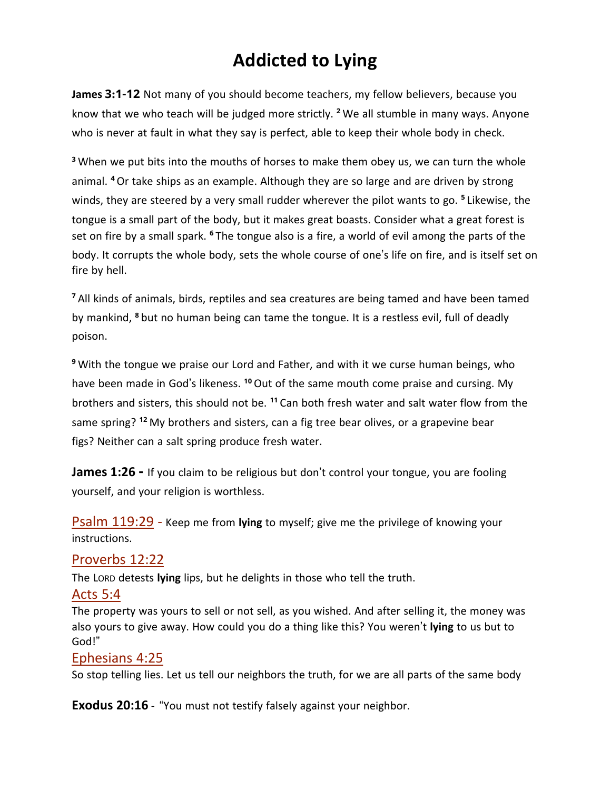# **Addicted to Lying**

**James 3:1-12** Not many of you should become teachers, my fellow believers, because you know that we who teach will be judged more strictly. **<sup>2</sup>** We all stumble in many ways. Anyone who is never at fault in what they say is perfect, able to keep their whole body in check.

**<sup>3</sup>** When we put bits into the mouths of horses to make them obey us, we can turn the whole animal. **<sup>4</sup>** Or take ships as an example. Although they are so large and are driven by strong winds, they are steered by a very small rudder wherever the pilot wants to go. **<sup>5</sup>** Likewise, the tongue is a small part of the body, but it makes great boasts. Consider what a great forest is set on fire by a small spark. **<sup>6</sup>** The tongue also is a fire, a world of evil among the parts of the body. It corrupts the whole body, sets the whole course of one's life on fire, and is itself set on fire by hell.

**<sup>7</sup>** All kinds of animals, birds, reptiles and sea creatures are being tamed and have been tamed by mankind, **<sup>8</sup>** but no human being can tame the tongue. It is a restless evil, full of deadly poison.

**<sup>9</sup>** With the tongue we praise our Lord and Father, and with it we curse human beings, who have been made in God's likeness. **<sup>10</sup>** Out of the same mouth come praise and cursing. My brothers and sisters, this should not be. **<sup>11</sup>** Can both fresh water and salt water flow from the same spring? **<sup>12</sup>** My brothers and sisters, can a fig tree bear olives, or a grapevine bear figs? Neither can a salt spring produce fresh water.

**James 1:26 -** If you claim to be religious but don't control your tongue, you are fooling yourself, and your religion is worthless.

Psalm 119:29 - Keep me from **lying** to myself; give me the privilege of knowing your instructions.

## Proverbs 12:22

The LORD detests **lying** lips, but he delights in those who tell the truth.

#### Acts 5:4

The property was yours to sell or not sell, as you wished. And after selling it, the money was also yours to give away. How could you do a thing like this? You weren't **lying** to us but to God!"

#### Ephesians 4:25

So stop telling lies. Let us tell our neighbors the truth, for we are all parts of the same body

**Exodus 20:16** - "You must not testify falsely against your neighbor.